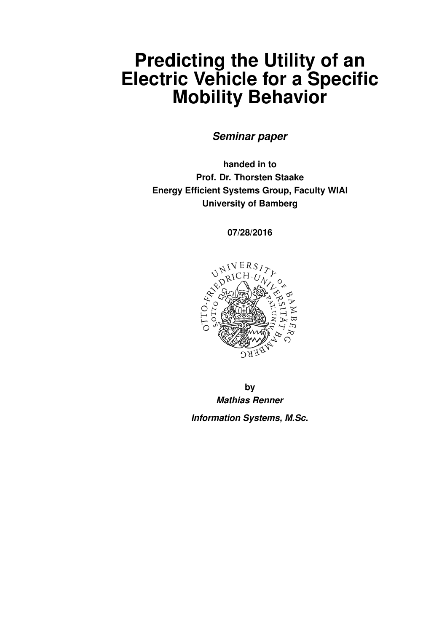# <span id="page-0-0"></span>**Predicting the Utility of an Electric Vehicle for a Specific Mobility Behavior**

*Seminar paper*

**handed in to Prof. Dr. Thorsten Staake Energy Efficient Systems Group, Faculty WIAI University of Bamberg**

**07/28/2016**



**by** *Mathias Renner Information Systems, M.Sc.*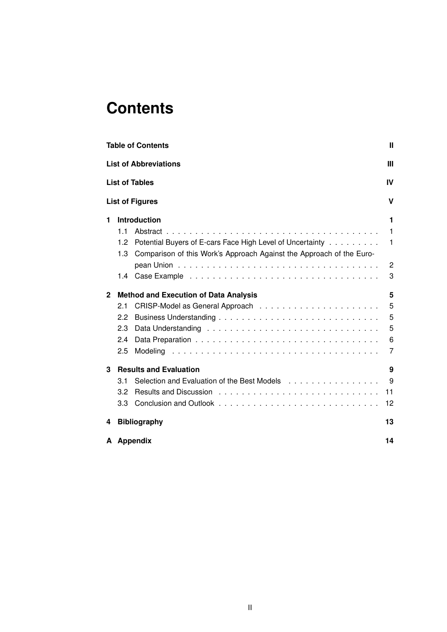# **Contents**

|              |     | <b>Table of Contents</b>                                             | Ш              |
|--------------|-----|----------------------------------------------------------------------|----------------|
|              |     | <b>List of Abbreviations</b>                                         | Ш              |
|              |     | <b>List of Tables</b>                                                | IV             |
|              |     | <b>List of Figures</b>                                               | v              |
| 1            |     | Introduction                                                         | 1              |
|              | 1.1 |                                                                      | 1              |
|              | 1.2 | Potential Buyers of E-cars Face High Level of Uncertainty            | 1              |
|              | 1.3 | Comparison of this Work's Approach Against the Approach of the Euro- |                |
|              |     |                                                                      | $\overline{c}$ |
|              | 1.4 |                                                                      | 3              |
| $\mathbf{2}$ |     | <b>Method and Execution of Data Analysis</b>                         | 5              |
|              | 2.1 |                                                                      | 5              |
|              | 2.2 |                                                                      | 5              |
|              | 2.3 |                                                                      | 5              |
|              | 2.4 |                                                                      | 6              |
|              | 2.5 |                                                                      | 7              |
| 3            |     | <b>Results and Evaluation</b>                                        | 9              |
|              | 3.1 |                                                                      | 9              |
|              | 3.2 |                                                                      | 11             |
|              | 3.3 |                                                                      | 12             |
| 4            |     | <b>Bibliography</b>                                                  | 13             |
|              |     | A Appendix                                                           | 14             |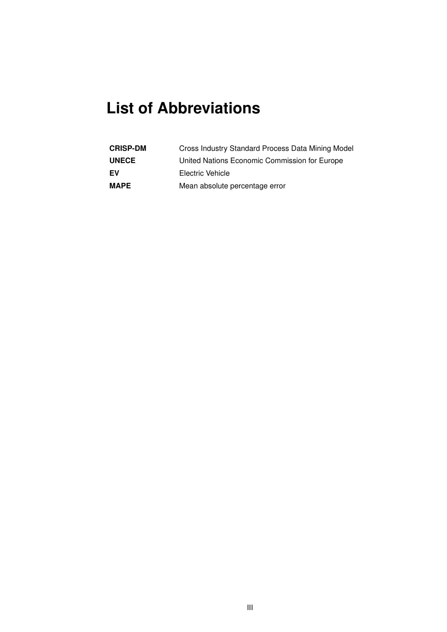# <span id="page-2-0"></span>**List of Abbreviations**

| <b>CRISP-DM</b> | Cross Industry Standard Process Data Mining Model |
|-----------------|---------------------------------------------------|
| <b>UNECE</b>    | United Nations Economic Commission for Europe     |
| EV              | Electric Vehicle                                  |
| <b>MAPE</b>     | Mean absolute percentage error                    |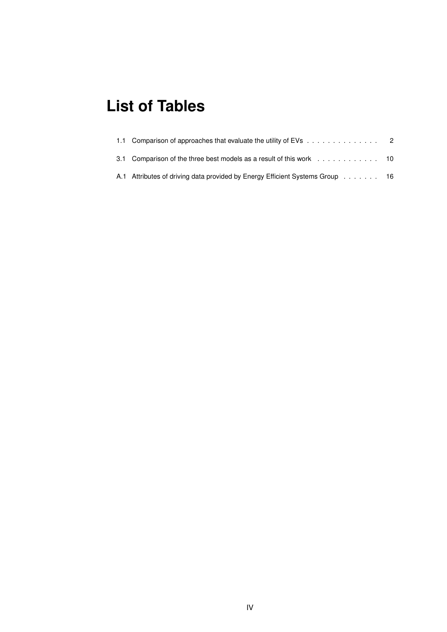## <span id="page-3-0"></span>**List of Tables**

| 1.1 Comparison of approaches that evaluate the utility of EVs 2              |  |
|------------------------------------------------------------------------------|--|
| 3.1 Comparison of the three best models as a result of this work 10          |  |
| A.1 Attributes of driving data provided by Energy Efficient Systems Group 16 |  |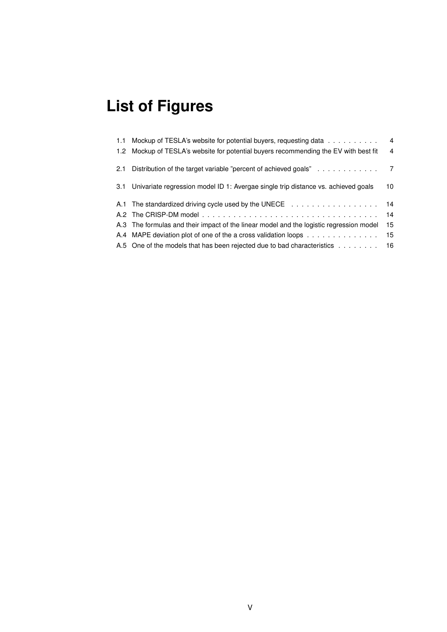# <span id="page-4-0"></span>**List of Figures**

|     | 1.1 Mockup of TESLA's website for potential buyers, requesting data                     | $\overline{4}$ |
|-----|-----------------------------------------------------------------------------------------|----------------|
|     | 1.2 Mockup of TESLA's website for potential buyers recommending the EV with best fit    | $\overline{4}$ |
| 2.1 | Distribution of the target variable "percent of achieved goals" 7                       |                |
| 3.1 | Univariate regression model ID 1: Avergae single trip distance vs. achieved goals       | 10             |
|     | A.1 The standardized driving cycle used by the UNECE                                    | 14             |
|     |                                                                                         | 14             |
|     | A.3 The formulas and their impact of the linear model and the logistic regression model | 15             |
|     | A.4 MAPE deviation plot of one of the a cross validation loops                          | 15             |
|     | A.5 One of the models that has been rejected due to bad characteristics                 | 16             |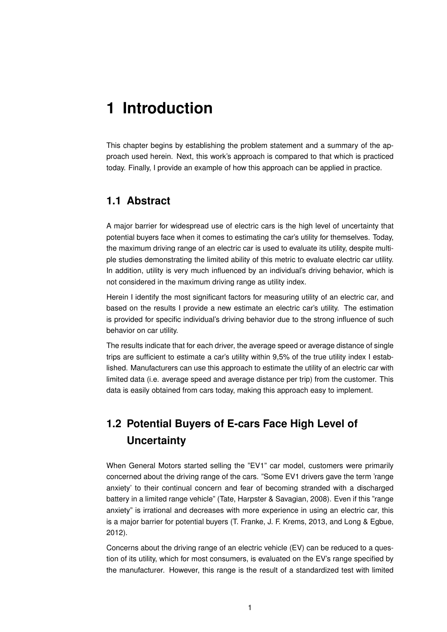## <span id="page-5-0"></span>**1 Introduction**

This chapter begins by establishing the problem statement and a summary of the approach used herein. Next, this work's approach is compared to that which is practiced today. Finally, I provide an example of how this approach can be applied in practice.

#### <span id="page-5-1"></span>**1.1 Abstract**

A major barrier for widespread use of electric cars is the high level of uncertainty that potential buyers face when it comes to estimating the car's utility for themselves. Today, the maximum driving range of an electric car is used to evaluate its utility, despite multiple studies demonstrating the limited ability of this metric to evaluate electric car utility. In addition, utility is very much influenced by an individual's driving behavior, which is not considered in the maximum driving range as utility index.

Herein I identify the most significant factors for measuring utility of an electric car, and based on the results I provide a new estimate an electric car's utility. The estimation is provided for specific individual's driving behavior due to the strong influence of such behavior on car utility.

The results indicate that for each driver, the average speed or average distance of single trips are sufficient to estimate a car's utility within 9,5% of the true utility index I established. Manufacturers can use this approach to estimate the utility of an electric car with limited data (i.e. average speed and average distance per trip) from the customer. This data is easily obtained from cars today, making this approach easy to implement.

## <span id="page-5-2"></span>**1.2 Potential Buyers of E-cars Face High Level of Uncertainty**

When General Motors started selling the "EV1" car model, customers were primarily concerned about the driving range of the cars. "Some EV1 drivers gave the term 'range anxiety' to their continual concern and fear of becoming stranded with a discharged battery in a limited range vehicle" (Tate, Harpster & Savagian, 2008). Even if this "range anxiety" is irrational and decreases with more experience in using an electric car, this is a major barrier for potential buyers (T. Franke, J. F. Krems, 2013, and Long & Egbue, 2012).

Concerns about the driving range of an electric vehicle (EV) can be reduced to a question of its utility, which for most consumers, is evaluated on the EV's range specified by the manufacturer. However, this range is the result of a standardized test with limited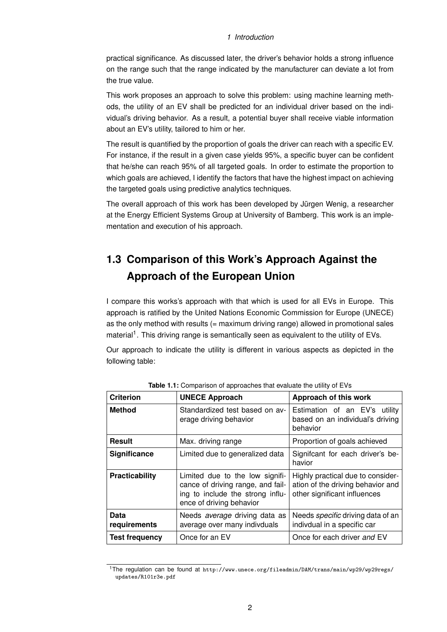#### *1 Introduction*

practical significance. As discussed later, the driver's behavior holds a strong influence on the range such that the range indicated by the manufacturer can deviate a lot from the true value.

This work proposes an approach to solve this problem: using machine learning methods, the utility of an EV shall be predicted for an individual driver based on the individual's driving behavior. As a result, a potential buyer shall receive viable information about an EV's utility, tailored to him or her.

The result is quantified by the proportion of goals the driver can reach with a specific EV. For instance, if the result in a given case yields 95%, a specific buyer can be confident that he/she can reach 95% of all targeted goals. In order to estimate the proportion to which goals are achieved, I identify the factors that have the highest impact on achieving the targeted goals using predictive analytics techniques.

The overall approach of this work has been developed by Jürgen Wenig, a researcher at the Energy Efficient Systems Group at University of Bamberg. This work is an implementation and execution of his approach.

## <span id="page-6-0"></span>**1.3 Comparison of this Work's Approach Against the Approach of the European Union**

I compare this works's approach with that which is used for all EVs in Europe. This approach is ratified by the United Nations Economic Commission for Europe (UNECE) as the only method with results (= maximum driving range) allowed in promotional sales material<sup>[1](#page-6-2)</sup>. This driving range is semantically seen as equivalent to the utility of EVs.

Our approach to indicate the utility is different in various aspects as depicted in the following table:

<span id="page-6-1"></span>

| <b>Criterion</b>      | <b>UNECE Approach</b>                                                                                                                | Approach of this work                                                                                  |  |
|-----------------------|--------------------------------------------------------------------------------------------------------------------------------------|--------------------------------------------------------------------------------------------------------|--|
| <b>Method</b>         | Standardized test based on av-<br>erage driving behavior                                                                             | Estimation of an EV's<br>utilitv<br>based on an individual's driving<br>behavior                       |  |
| Result                | Max. driving range                                                                                                                   | Proportion of goals achieved                                                                           |  |
| Significance          | Limited due to generalized data                                                                                                      | Signifcant for each driver's be-<br>havior                                                             |  |
| Practicability        | Limited due to the low signifi-<br>cance of driving range, and fail-<br>ing to include the strong influ-<br>ence of driving behavior | Highly practical due to consider-<br>ation of the driving behavior and<br>other significant influences |  |
| Data<br>requirements  | Needs <i>average</i> driving data as<br>average over many indivduals                                                                 | Needs <i>specific</i> driving data of an<br>indivdual in a specific car                                |  |
| <b>Test frequency</b> | Once for an EV                                                                                                                       | Once for each driver and EV                                                                            |  |

**Table 1.1:** Comparison of approaches that evaluate the utility of EVs

<span id="page-6-2"></span><sup>1</sup>The regulation can be found at [http://www.unece.org/fileadmin/DAM/trans/main/wp29/wp29regs/](http://www.unece.org/fileadmin/DAM/trans/main/wp29/wp29regs/updates/R101r3e.pdf) [updates/R101r3e.pdf](http://www.unece.org/fileadmin/DAM/trans/main/wp29/wp29regs/updates/R101r3e.pdf)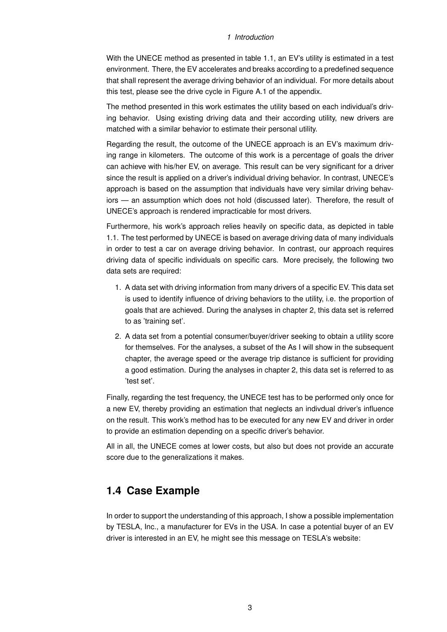#### *1 Introduction*

With the UNECE method as presented in table 1.1, an EV's utility is estimated in a test environment. There, the EV accelerates and breaks according to a predefined sequence that shall represent the average driving behavior of an individual. For more details about this test, please see the drive cycle in Figure A.1 of the appendix.

The method presented in this work estimates the utility based on each individual's driving behavior. Using existing driving data and their according utility, new drivers are matched with a similar behavior to estimate their personal utility.

Regarding the result, the outcome of the UNECE approach is an EV's maximum driving range in kilometers. The outcome of this work is a percentage of goals the driver can achieve with his/her EV, on average. This result can be very significant for a driver since the result is applied on a driver's individual driving behavior. In contrast, UNECE's approach is based on the assumption that individuals have very similar driving behaviors — an assumption which does not hold (discussed later). Therefore, the result of UNECE's approach is rendered impracticable for most drivers.

Furthermore, his work's approach relies heavily on specific data, as depicted in table 1.1. The test performed by UNECE is based on average driving data of many individuals in order to test a car on average driving behavior. In contrast, our approach requires driving data of specific individuals on specific cars. More precisely, the following two data sets are required:

- 1. A data set with driving information from many drivers of a specific EV. This data set is used to identify influence of driving behaviors to the utility, i.e. the proportion of goals that are achieved. During the analyses in chapter 2, this data set is referred to as 'training set'.
- 2. A data set from a potential consumer/buyer/driver seeking to obtain a utility score for themselves. For the analyses, a subset of the As I will show in the subsequent chapter, the average speed or the average trip distance is sufficient for providing a good estimation. During the analyses in chapter 2, this data set is referred to as 'test set'.

Finally, regarding the test frequency, the UNECE test has to be performed only once for a new EV, thereby providing an estimation that neglects an indivdual driver's influence on the result. This work's method has to be executed for any new EV and driver in order to provide an estimation depending on a specific driver's behavior.

All in all, the UNECE comes at lower costs, but also but does not provide an accurate score due to the generalizations it makes.

### <span id="page-7-0"></span>**1.4 Case Example**

In order to support the understanding of this approach, I show a possible implementation by TESLA, Inc., a manufacturer for EVs in the USA. In case a potential buyer of an EV driver is interested in an EV, he might see this message on TESLA's website: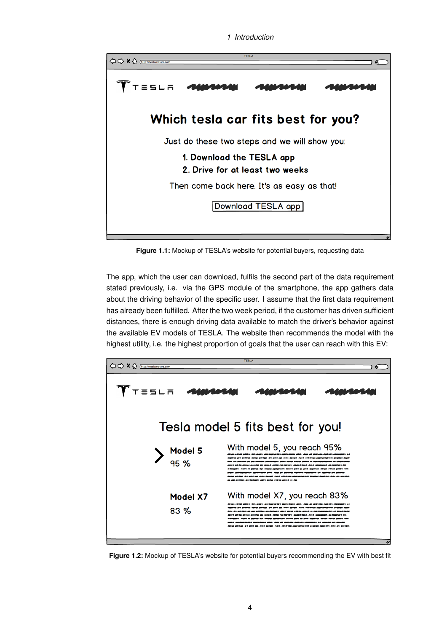```
1 Introduction
```
<span id="page-8-0"></span>

**Figure 1.1:** Mockup of TESLA's website for potential buyers, requesting data

The app, which the user can download, fulfils the second part of the data requirement stated previously, i.e. via the GPS module of the smartphone, the app gathers data about the driving behavior of the specific user. I assume that the first data requirement has already been fulfilled. After the two week period, if the customer has driven sufficient distances, there is enough driving data available to match the driver's behavior against the available EV models of TESLA. The website then recommends the model with the highest utility, i.e. the highest proportion of goals that the user can reach with this EV:

<span id="page-8-1"></span>

**Figure 1.2:** Mockup of TESLA's website for potential buyers recommending the EV with best fit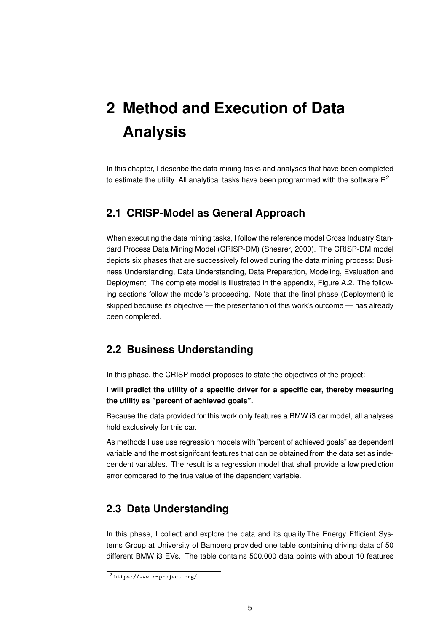# <span id="page-9-0"></span>**2 Method and Execution of Data Analysis**

In this chapter, I describe the data mining tasks and analyses that have been completed to estimate the utility. All analytical tasks have been programmed with the software  $\mathsf{R}^2$  $\mathsf{R}^2$ .

#### <span id="page-9-1"></span>**2.1 CRISP-Model as General Approach**

When executing the data mining tasks, I follow the reference model Cross Industry Standard Process Data Mining Model (CRISP-DM) (Shearer, 2000). The CRISP-DM model depicts six phases that are successively followed during the data mining process: Business Understanding, Data Understanding, Data Preparation, Modeling, Evaluation and Deployment. The complete model is illustrated in the appendix, Figure A.2. The following sections follow the model's proceeding. Note that the final phase (Deployment) is skipped because its objective — the presentation of this work's outcome — has already been completed.

### <span id="page-9-2"></span>**2.2 Business Understanding**

In this phase, the CRISP model proposes to state the objectives of the project:

**I will predict the utility of a specific driver for a specific car, thereby measuring the utility as "percent of achieved goals".**

Because the data provided for this work only features a BMW i3 car model, all analyses hold exclusively for this car.

As methods I use use regression models with "percent of achieved goals" as dependent variable and the most signifcant features that can be obtained from the data set as independent variables. The result is a regression model that shall provide a low prediction error compared to the true value of the dependent variable.

### <span id="page-9-3"></span>**2.3 Data Understanding**

In this phase, I collect and explore the data and its quality.The Energy Efficient Systems Group at University of Bamberg provided one table containing driving data of 50 different BMW i3 EVs. The table contains 500.000 data points with about 10 features

<span id="page-9-4"></span><sup>2</sup> <https://www.r-project.org/>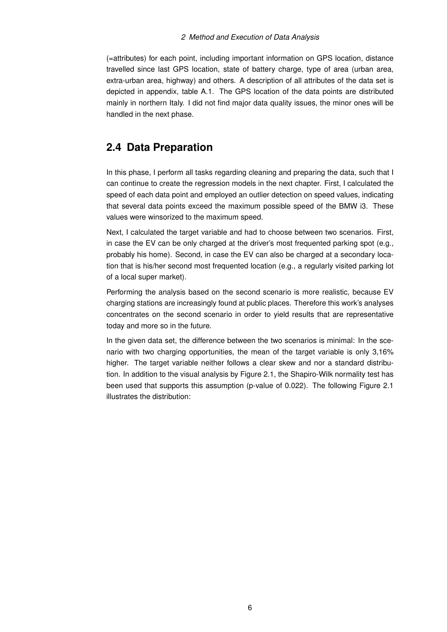#### *2 Method and Execution of Data Analysis*

(=attributes) for each point, including important information on GPS location, distance travelled since last GPS location, state of battery charge, type of area (urban area, extra-urban area, highway) and others. A description of all attributes of the data set is depicted in appendix, table A.1. The GPS location of the data points are distributed mainly in northern Italy. I did not find major data quality issues, the minor ones will be handled in the next phase.

### <span id="page-10-0"></span>**2.4 Data Preparation**

In this phase, I perform all tasks regarding cleaning and preparing the data, such that I can continue to create the regression models in the next chapter. First, I calculated the speed of each data point and employed an outlier detection on speed values, indicating that several data points exceed the maximum possible speed of the BMW i3. These values were winsorized to the maximum speed.

Next, I calculated the target variable and had to choose between two scenarios. First, in case the EV can be only charged at the driver's most frequented parking spot (e.g., probably his home). Second, in case the EV can also be charged at a secondary location that is his/her second most frequented location (e.g., a regularly visited parking lot of a local super market).

Performing the analysis based on the second scenario is more realistic, because EV charging stations are increasingly found at public places. Therefore this work's analyses concentrates on the second scenario in order to yield results that are representative today and more so in the future.

In the given data set, the difference between the two scenarios is minimal: In the scenario with two charging opportunities, the mean of the target variable is only 3,16% higher. The target variable neither follows a clear skew and nor a standard distribution. In addition to the visual analysis by Figure 2.1, the Shapiro-Wilk normality test has been used that supports this assumption (p-value of 0.022). The following Figure 2.1 illustrates the distribution: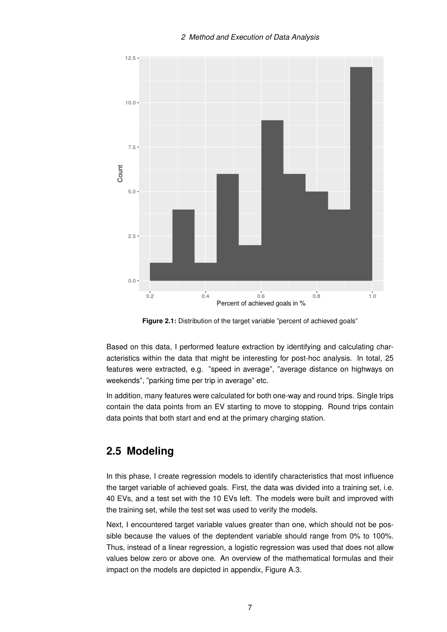<span id="page-11-1"></span>

**Figure 2.1:** Distribution of the target variable "percent of achieved goals"

Based on this data, I performed feature extraction by identifying and calculating characteristics within the data that might be interesting for post-hoc analysis. In total, 25 features were extracted, e.g. "speed in average", "average distance on highways on weekends", "parking time per trip in average" etc.

In addition, many features were calculated for both one-way and round trips. Single trips contain the data points from an EV starting to move to stopping. Round trips contain data points that both start and end at the primary charging station.

### <span id="page-11-0"></span>**2.5 Modeling**

In this phase, I create regression models to identify characteristics that most influence the target variable of achieved goals. First, the data was divided into a training set, i.e. 40 EVs, and a test set with the 10 EVs left. The models were built and improved with the training set, while the test set was used to verify the models.

Next, I encountered target variable values greater than one, which should not be possible because the values of the deptendent variable should range from 0% to 100%. Thus, instead of a linear regression, a logistic regression was used that does not allow values below zero or above one. An overview of the mathematical formulas and their impact on the models are depicted in appendix, Figure A.3.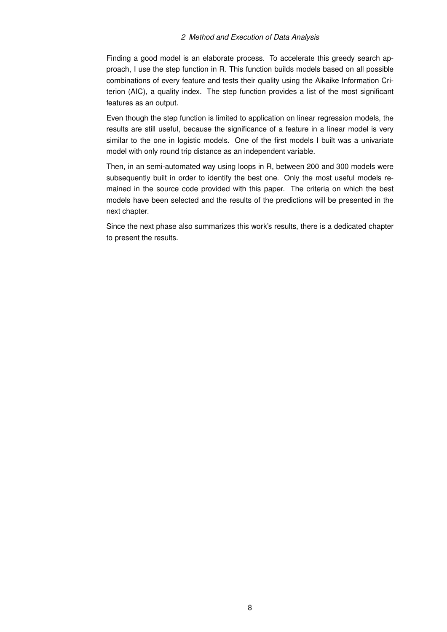#### *2 Method and Execution of Data Analysis*

Finding a good model is an elaborate process. To accelerate this greedy search approach, I use the step function in R. This function builds models based on all possible combinations of every feature and tests their quality using the Aikaike Information Criterion (AIC), a quality index. The step function provides a list of the most significant features as an output.

Even though the step function is limited to application on linear regression models, the results are still useful, because the significance of a feature in a linear model is very similar to the one in logistic models. One of the first models I built was a univariate model with only round trip distance as an independent variable.

Then, in an semi-automated way using loops in R, between 200 and 300 models were subsequently built in order to identify the best one. Only the most useful models remained in the source code provided with this paper. The criteria on which the best models have been selected and the results of the predictions will be presented in the next chapter.

Since the next phase also summarizes this work's results, there is a dedicated chapter to present the results.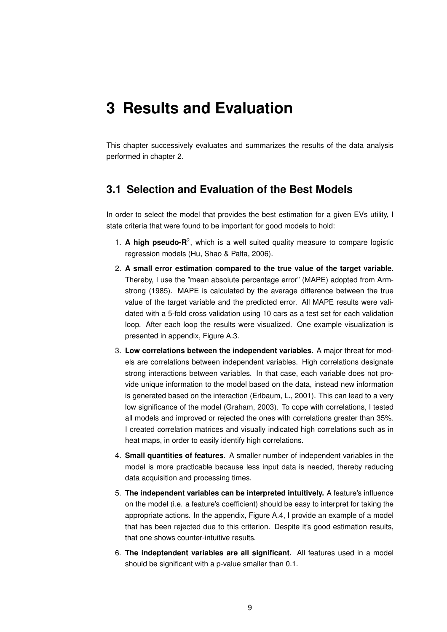## <span id="page-13-0"></span>**3 Results and Evaluation**

This chapter successively evaluates and summarizes the results of the data analysis performed in chapter [2.](#page-9-0)

#### <span id="page-13-1"></span>**3.1 Selection and Evaluation of the Best Models**

In order to select the model that provides the best estimation for a given EVs utility, I state criteria that were found to be important for good models to hold:

- 1. A high pseudo-R<sup>2</sup>, which is a well suited quality measure to compare logistic regression models (Hu, Shao & Palta, 2006).
- 2. **A small error estimation compared to the true value of the target variable**. Thereby, I use the "mean absolute percentage error" (MAPE) adopted from Armstrong (1985). MAPE is calculated by the average difference between the true value of the target variable and the predicted error. All MAPE results were validated with a 5-fold cross validation using 10 cars as a test set for each validation loop. After each loop the results were visualized. One example visualization is presented in appendix, Figure A.3.
- 3. **Low correlations between the independent variables.** A major threat for models are correlations between independent variables. High correlations designate strong interactions between variables. In that case, each variable does not provide unique information to the model based on the data, instead new information is generated based on the interaction (Erlbaum, L., 2001). This can lead to a very low significance of the model (Graham, 2003). To cope with correlations, I tested all models and improved or rejected the ones with correlations greater than 35%. I created correlation matrices and visually indicated high correlations such as in heat maps, in order to easily identify high correlations.
- 4. **Small quantities of features**. A smaller number of independent variables in the model is more practicable because less input data is needed, thereby reducing data acquisition and processing times.
- 5. **The independent variables can be interpreted intuitively.** A feature's influence on the model (i.e. a feature's coefficient) should be easy to interpret for taking the appropriate actions. In the appendix, Figure A.4, I provide an example of a model that has been rejected due to this criterion. Despite it's good estimation results, that one shows counter-intuitive results.
- 6. **The indeptendent variables are all significant.** All features used in a model should be significant with a p-value smaller than 0.1.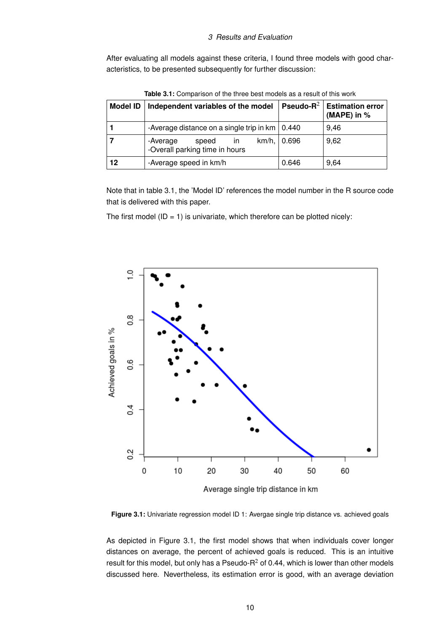#### *3 Results and Evaluation*

After evaluating all models against these criteria, I found three models with good characteristics, to be presented subsequently for further discussion:

<span id="page-14-0"></span>

| <b>Model ID</b> | Independent variables of the model                        | Pseudo- $R^2$ | <b>Estimation error</b><br>(MAPE) in $%$ |
|-----------------|-----------------------------------------------------------|---------------|------------------------------------------|
|                 | -Average distance on a single trip in $km$   0.440        |               | 9,46                                     |
|                 | -Average<br>speed<br>in<br>-Overall parking time in hours | km/h,   0.696 | 9,62                                     |
| 12              | -Average speed in km/h                                    | 0.646         | 9.64                                     |

**Table 3.1:** Comparison of the three best models as a result of this work

Note that in table 3.1, the 'Model ID' references the model number in the R source code that is delivered with this paper.

<span id="page-14-1"></span>The first model (ID = 1) is univariate, which therefore can be plotted nicely:



**Figure 3.1:** Univariate regression model ID 1: Avergae single trip distance vs. achieved goals

As depicted in Figure 3.1, the first model shows that when individuals cover longer distances on average, the percent of achieved goals is reduced. This is an intuitive result for this model, but only has a Pseudo- $R^2$  of 0.44, which is lower than other models discussed here. Nevertheless, its estimation error is good, with an average deviation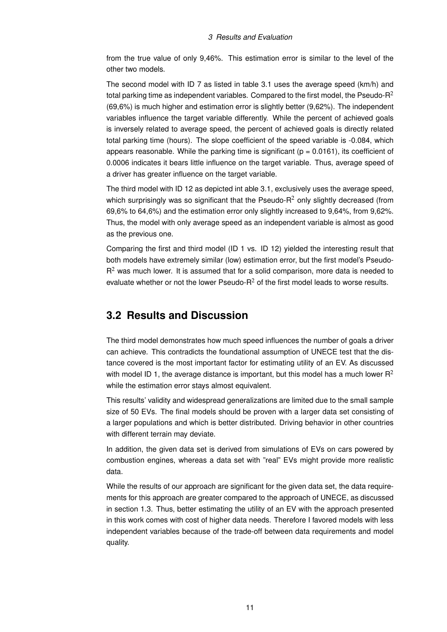from the true value of only 9,46%. This estimation error is similar to the level of the other two models.

The second model with ID 7 as listed in table 3.1 uses the average speed (km/h) and total parking time as independent variables. Compared to the first model, the Pseudo- $R^2$ (69,6%) is much higher and estimation error is slightly better (9,62%). The independent variables influence the target variable differently. While the percent of achieved goals is inversely related to average speed, the percent of achieved goals is directly related total parking time (hours). The slope coefficient of the speed variable is -0.084, which appears reasonable. While the parking time is significant ( $p = 0.0161$ ), its coefficient of 0.0006 indicates it bears little influence on the target variable. Thus, average speed of a driver has greater influence on the target variable.

The third model with ID 12 as depicted int able 3.1, exclusively uses the average speed, which surprisingly was so significant that the Pseudo- $R<sup>2</sup>$  only slightly decreased (from 69,6% to 64,6%) and the estimation error only slightly increased to 9,64%, from 9,62%. Thus, the model with only average speed as an independent variable is almost as good as the previous one.

Comparing the first and third model (ID 1 vs. ID 12) yielded the interesting result that both models have extremely similar (low) estimation error, but the first model's Pseudo- $R<sup>2</sup>$  was much lower. It is assumed that for a solid comparison, more data is needed to evaluate whether or not the lower Pseudo- $R^2$  of the first model leads to worse results.

### <span id="page-15-0"></span>**3.2 Results and Discussion**

The third model demonstrates how much speed influences the number of goals a driver can achieve. This contradicts the foundational assumption of UNECE test that the distance covered is the most important factor for estimating utility of an EV. As discussed with model ID 1, the average distance is important, but this model has a much lower  $R^2$ while the estimation error stays almost equivalent.

This results' validity and widespread generalizations are limited due to the small sample size of 50 EVs. The final models should be proven with a larger data set consisting of a larger populations and which is better distributed. Driving behavior in other countries with different terrain may deviate.

In addition, the given data set is derived from simulations of EVs on cars powered by combustion engines, whereas a data set with "real" EVs might provide more realistic data.

While the results of our approach are significant for the given data set, the data requirements for this approach are greater compared to the approach of UNECE, as discussed in section 1.3. Thus, better estimating the utility of an EV with the approach presented in this work comes with cost of higher data needs. Therefore I favored models with less independent variables because of the trade-off between data requirements and model quality.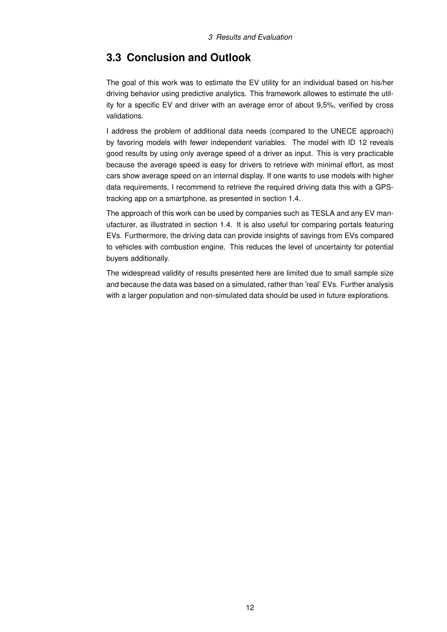### <span id="page-16-0"></span>**3.3 Conclusion and Outlook**

The goal of this work was to estimate the EV utility for an individual based on his/her driving behavior using predictive analytics. This framework allowes to estimate the utility for a specific EV and driver with an average error of about 9,5%, verified by cross validations.

I address the problem of additional data needs (compared to the UNECE approach) by favoring models with fewer independent variables. The model with ID 12 reveals good results by using only average speed of a driver as input. This is very practicable because the average speed is easy for drivers to retrieve with minimal effort, as most cars show average speed on an internal display. If one wants to use models with higher data requirements, I recommend to retrieve the required driving data this with a GPStracking app on a smartphone, as presented in section 1.4.

The approach of this work can be used by companies such as TESLA and any EV manufacturer, as illustrated in section 1.4. It is also useful for comparing portals featuring EVs. Furthermore, the driving data can provide insights of savings from EVs compared to vehicles with combustion engine. This reduces the level of uncertainty for potential buyers additionally.

The widespread validity of results presented here are limited due to small sample size and because the data was based on a simulated, rather than 'real' EVs. Further analysis with a larger population and non-simulated data should be used in future explorations.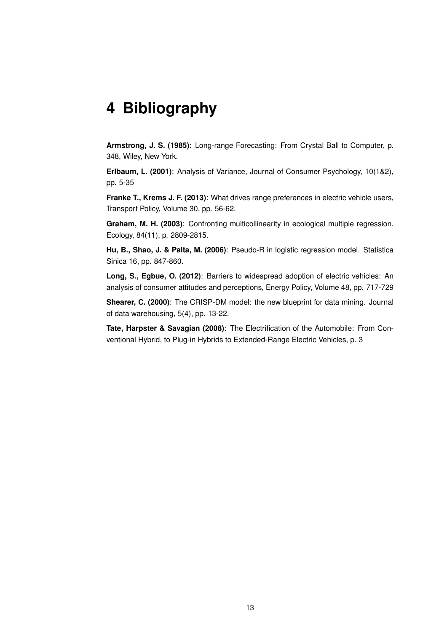## <span id="page-17-0"></span>**4 Bibliography**

**Armstrong, J. S. (1985)**: Long-range Forecasting: From Crystal Ball to Computer, p. 348, Wiley, New York.

**Erlbaum, L. (2001)**: Analysis of Variance, Journal of Consumer Psychology, 10(1&2), pp. 5-35

**Franke T., Krems J. F. (2013)**: What drives range preferences in electric vehicle users, Transport Policy, Volume 30, pp. 56-62.

**Graham, M. H. (2003)**: Confronting multicollinearity in ecological multiple regression. Ecology, 84(11), p. 2809-2815.

**Hu, B., Shao, J. & Palta, M. (2006)**: Pseudo-R in logistic regression model. Statistica Sinica 16, pp. 847-860.

**Long, S., Egbue, O. (2012)**: Barriers to widespread adoption of electric vehicles: An analysis of consumer attitudes and perceptions, Energy Policy, Volume 48, pp. 717-729

**Shearer, C. (2000)**: The CRISP-DM model: the new blueprint for data mining. Journal of data warehousing, 5(4), pp. 13-22.

**Tate, Harpster & Savagian (2008)**: The Electrification of the Automobile: From Conventional Hybrid, to Plug-in Hybrids to Extended-Range Electric Vehicles, p. 3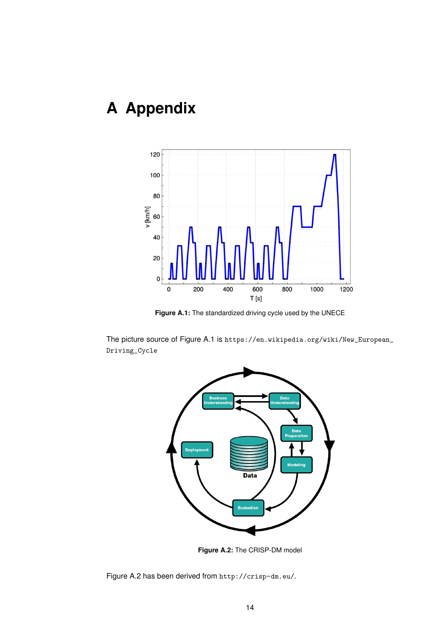# <span id="page-18-0"></span>**A Appendix**

<span id="page-18-1"></span>

**Figure A.1:** The standardized driving cycle used by the UNECE

<span id="page-18-2"></span>The picture source of Figure A.1 is [https://en.wikipedia.org/wiki/New\\_European\\_](https://en.wikipedia.org/wiki/New_European_Driving_Cycle) [Driving\\_Cycle](https://en.wikipedia.org/wiki/New_European_Driving_Cycle)



**Figure A.2:** The CRISP-DM model

Figure A.2 has been derived from <http://crisp-dm.eu/>.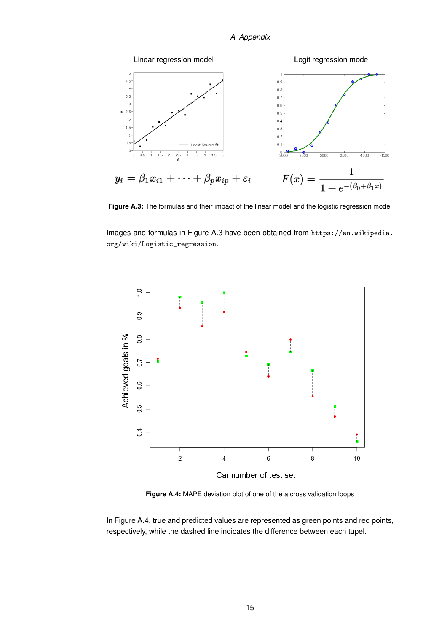#### *A Appendix*

<span id="page-19-0"></span>

**Figure A.3:** The formulas and their impact of the linear model and the logistic regression model

Images and formulas in Figure A.3 have been obtained from [https://en.wikipedia.](https://en.wikipedia.org/wiki/Logistic_regression) [org/wiki/Logistic\\_regression](https://en.wikipedia.org/wiki/Logistic_regression).

<span id="page-19-1"></span>

**Figure A.4:** MAPE deviation plot of one of the a cross validation loops

In Figure A.4, true and predicted values are represented as green points and red points, respectively, while the dashed line indicates the difference between each tupel.